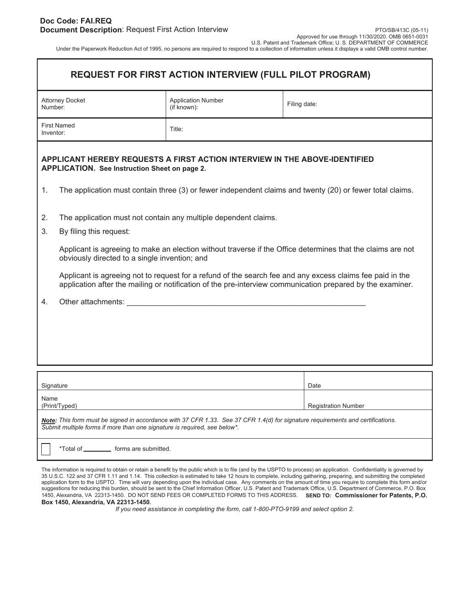| <b>REQUEST FOR FIRST ACTION INTERVIEW (FULL PILOT PROGRAM)</b> |
|----------------------------------------------------------------|
|----------------------------------------------------------------|

| Attorney Docket<br>Number:      | <b>Application Number</b><br>(if known): | Filing date: |
|---------------------------------|------------------------------------------|--------------|
| <b>First Named</b><br>Inventor: | Title:                                   |              |

## **APPLICANT HEREBY REQUESTS A FIRST ACTION INTERVIEW IN THE ABOVE-IDENTIFIED APPLICATION. See Instruction Sheet on page 2.**

- 1. The application must contain three (3) or fewer independent claims and twenty (20) or fewer total claims.
- 2. The application must not contain any multiple dependent claims.
- 3. By filing this request:

Applicant is agreeing to make an election without traverse if the Office determines that the claims are not obviously directed to a single invention; and

Applicant is agreeing not to request for a refund of the search fee and any excess claims fee paid in the application after the mailing or notification of the pre-interview communication prepared by the examiner.

4. Other attachments:

| Signature             | Date                       |
|-----------------------|----------------------------|
| Name<br>(Print/Typed) | <b>Registration Number</b> |

*Note: This form must be signed in accordance with 37 CFR 1.33. See 37 CFR 1.4(d) for signature requirements and certifications. Submit multiple forms if more than one signature is required, see below\*.* 

\*Total of \_\_\_\_\_\_\_\_\_\_\_ forms are submitted.

The information is required to obtain or retain a benefit by the public which is to file (and by the USPTO to process) an application. Confidentiality is governed by 35 U.S.C. 122 and 37 CFR 1.11 and 1.14. This collection is estimated to take 12 hours to complete, including gathering, preparing, and submitting the completed application form to the USPTO. Time will vary depending upon the individual case. Any comments on the amount of time you require to complete this form and/or suggestions for reducing this burden, should be sent to the Chief Information Officer, U.S. Patent and Trademark Office, U.S. Department of Commerce, P.O. Box 1450, Alexandria, VA 22313-1450. DO NOT SEND FEES OR COMPLETED FORMS TO THIS ADDRESS. **SEND TO: Commissioner for Patents, P.O. Box 1450, Alexandria, VA 22313-1450.** 

*If you need assistance in completing the form, call 1-800-PTO-9199 and select option 2.*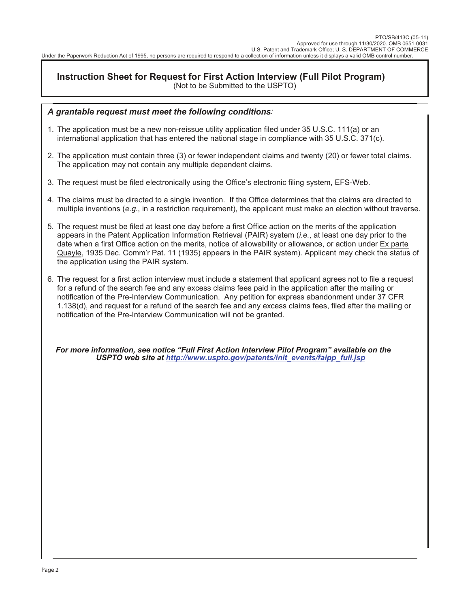## **Instruction Sheet for Request for First Action Interview (Full Pilot Program)** (Not to be Submitted to the USPTO)

## *A grantable request must meet the following conditions:*

- 1. The application must be a new non-reissue utility application filed under 35 U.S.C. 111(a) or an international application that has entered the national stage in compliance with 35 U.S.C. 371(c).
- 2. The application must contain three (3) or fewer independent claims and twenty (20) or fewer total claims. The application may not contain any multiple dependent claims.
- 3. The request must be filed electronically using the Office's electronic filing system, EFS-Web.
- 4. The claims must be directed to a single invention. If the Office determines that the claims are directed to multiple inventions (*e.g.*, in a restriction requirement), the applicant must make an election without traverse.
- 5. The request must be filed at least one day before a first Office action on the merits of the application appears in the Patent Application Information Retrieval (PAIR) system (*i.e.*, at least one day prior to the date when a first Office action on the merits, notice of allowability or allowance, or action under Ex parte Quayle, 1935 Dec. Comm'r Pat. 11 (1935) appears in the PAIR system). Applicant may check the status of the application using the PAIR system.
- 6. The request for a first action interview must include a statement that applicant agrees not to file a request for a refund of the search fee and any excess claims fees paid in the application after the mailing or notification of the Pre-Interview Communication. Any petition for express abandonment under 37 CFR 1.138(d), and request for a refund of the search fee and any excess claims fees, filed after the mailing or notification of the Pre-Interview Communication will not be granted.

*For more information, see notice "Full First Action Interview Pilot Program" available on the USPTO web site at http://www.uspto.gov/patents/init\_events/faipp\_full.jsp*